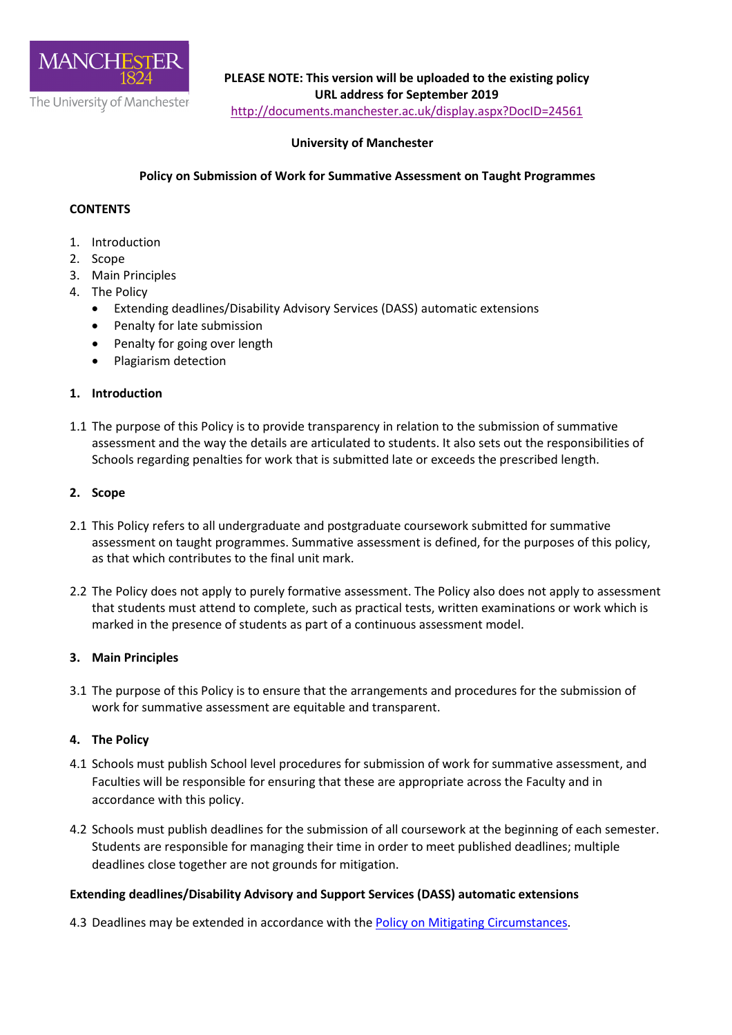

**PLEASE NOTE: This version will be uploaded to the existing policy URL address for September 2019** 

<http://documents.manchester.ac.uk/display.aspx?DocID=24561>

# **University of Manchester**

### **Policy on Submission of Work for Summative Assessment on Taught Programmes**

### **CONTENTS**

- 1. Introduction
- 2. Scope
- 3. Main Principles
- 4. The Policy
	- Extending deadlines/Disability Advisory Services (DASS) automatic extensions
	- Penalty for late submission
	- Penalty for going over length
	- Plagiarism detection

#### **1. Introduction**

1.1 The purpose of this Policy is to provide transparency in relation to the submission of summative assessment and the way the details are articulated to students. It also sets out the responsibilities of Schools regarding penalties for work that is submitted late or exceeds the prescribed length.

#### **2. Scope**

- 2.1 This Policy refers to all undergraduate and postgraduate coursework submitted for summative assessment on taught programmes. Summative assessment is defined, for the purposes of this policy, as that which contributes to the final unit mark.
- 2.2 The Policy does not apply to purely formative assessment. The Policy also does not apply to assessment that students must attend to complete, such as practical tests, written examinations or work which is marked in the presence of students as part of a continuous assessment model.

#### **3. Main Principles**

3.1 The purpose of this Policy is to ensure that the arrangements and procedures for the submission of work for summative assessment are equitable and transparent.

#### **4. The Policy**

- 4.1 Schools must publish School level procedures for submission of work for summative assessment, and Faculties will be responsible for ensuring that these are appropriate across the Faculty and in accordance with this policy.
- 4.2 Schools must publish deadlines for the submission of all coursework at the beginning of each semester. Students are responsible for managing their time in order to meet published deadlines; multiple deadlines close together are not grounds for mitigation.

### **Extending deadlines/Disability Advisory and Support Services (DASS) automatic extensions**

4.3 Deadlines may be extended in accordance with the [Policy on Mitigating Circumstances.](https://www.staffnet.manchester.ac.uk/tlso/policy-guidance/assessment/reaching-decisions-from-assessment/mitigating-circumstances/)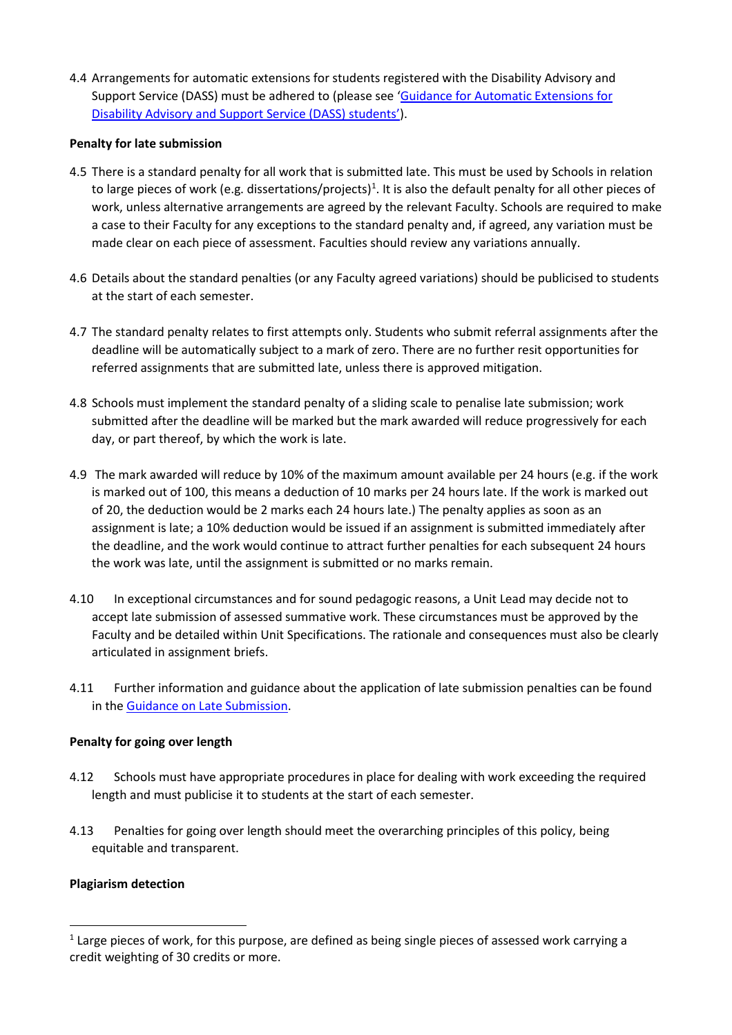4.4 Arrangements for automatic extensions for students registered with the Disability Advisory and Support Service (DASS) must be adhered to (please see ['Guidance for Automatic Extensions for](http://documents.manchester.ac.uk/display.aspx?DocID=37271)  [Disability Advisory and Support Service \(DASS\) students'\)](http://documents.manchester.ac.uk/display.aspx?DocID=37271).

## **Penalty for late submission**

- 4.5 There is a standard penalty for all work that is submitted late. This must be used by Schools in relation to large pieces of work (e.g. dissertations/projects)<sup>[1](#page-1-0)</sup>. It is also the default penalty for all other pieces of work, unless alternative arrangements are agreed by the relevant Faculty. Schools are required to make a case to their Faculty for any exceptions to the standard penalty and, if agreed, any variation must be made clear on each piece of assessment. Faculties should review any variations annually.
- 4.6 Details about the standard penalties (or any Faculty agreed variations) should be publicised to students at the start of each semester.
- 4.7 The standard penalty relates to first attempts only. Students who submit referral assignments after the deadline will be automatically subject to a mark of zero. There are no further resit opportunities for referred assignments that are submitted late, unless there is approved mitigation.
- 4.8 Schools must implement the standard penalty of a sliding scale to penalise late submission; work submitted after the deadline will be marked but the mark awarded will reduce progressively for each day, or part thereof, by which the work is late.
- 4.9 The mark awarded will reduce by 10% of the maximum amount available per 24 hours (e.g. if the work is marked out of 100, this means a deduction of 10 marks per 24 hours late. If the work is marked out of 20, the deduction would be 2 marks each 24 hours late.) The penalty applies as soon as an assignment is late; a 10% deduction would be issued if an assignment is submitted immediately after the deadline, and the work would continue to attract further penalties for each subsequent 24 hours the work was late, until the assignment is submitted or no marks remain.
- 4.10 In exceptional circumstances and for sound pedagogic reasons, a Unit Lead may decide not to accept late submission of assessed summative work. These circumstances must be approved by the Faculty and be detailed within Unit Specifications. The rationale and consequences must also be clearly articulated in assignment briefs.
- 4.11 Further information and guidance about the application of late submission penalties can be found in the [Guidance on Late Submission.](http://www.staffnet.manchester.ac.uk/tlso/policy-guidance/assessment/practice-of-assessment/late-submission/)

# **Penalty for going over length**

- 4.12 Schools must have appropriate procedures in place for dealing with work exceeding the required length and must publicise it to students at the start of each semester.
- 4.13 Penalties for going over length should meet the overarching principles of this policy, being equitable and transparent.

# **Plagiarism detection**

<span id="page-1-0"></span><sup>&</sup>lt;sup>1</sup> Large pieces of work, for this purpose, are defined as being single pieces of assessed work carrying a credit weighting of 30 credits or more.